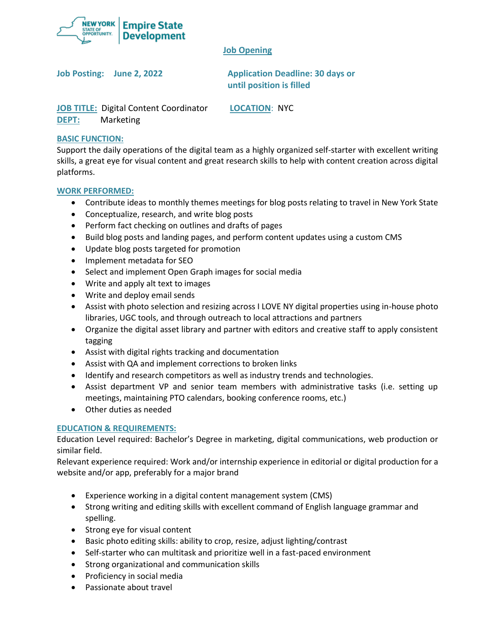

# **Job Opening**

**Job Posting: June 2, 2022 Application Deadline: 30 days or until position is filled**

**JOB TITLE:** Digital Content Coordinator **LOCATION**: NYC **DEPT:** Marketing

# **BASIC FUNCTION:**

Support the daily operations of the digital team as a highly organized self-starter with excellent writing skills, a great eye for visual content and great research skills to help with content creation across digital platforms.

# **WORK PERFORMED:**

- Contribute ideas to monthly themes meetings for blog posts relating to travel in New York State
- Conceptualize, research, and write blog posts
- Perform fact checking on outlines and drafts of pages
- Build blog posts and landing pages, and perform content updates using a custom CMS
- Update blog posts targeted for promotion
- Implement metadata for SEO
- Select and implement Open Graph images for social media
- Write and apply alt text to images
- Write and deploy email sends
- Assist with photo selection and resizing across I LOVE NY digital properties using in-house photo libraries, UGC tools, and through outreach to local attractions and partners
- Organize the digital asset library and partner with editors and creative staff to apply consistent tagging
- Assist with digital rights tracking and documentation
- Assist with QA and implement corrections to broken links
- Identify and research competitors as well as industry trends and technologies.
- Assist department VP and senior team members with administrative tasks (i.e. setting up meetings, maintaining PTO calendars, booking conference rooms, etc.)
- Other duties as needed

# **EDUCATION & REQUIREMENTS:**

Education Level required: Bachelor's Degree in marketing, digital communications, web production or similar field.

Relevant experience required: Work and/or internship experience in editorial or digital production for a website and/or app, preferably for a major brand

- Experience working in a digital content management system (CMS)
- Strong writing and editing skills with excellent command of English language grammar and spelling.
- Strong eye for visual content
- Basic photo editing skills: ability to crop, resize, adjust lighting/contrast
- Self-starter who can multitask and prioritize well in a fast-paced environment
- Strong organizational and communication skills
- Proficiency in social media
- Passionate about travel